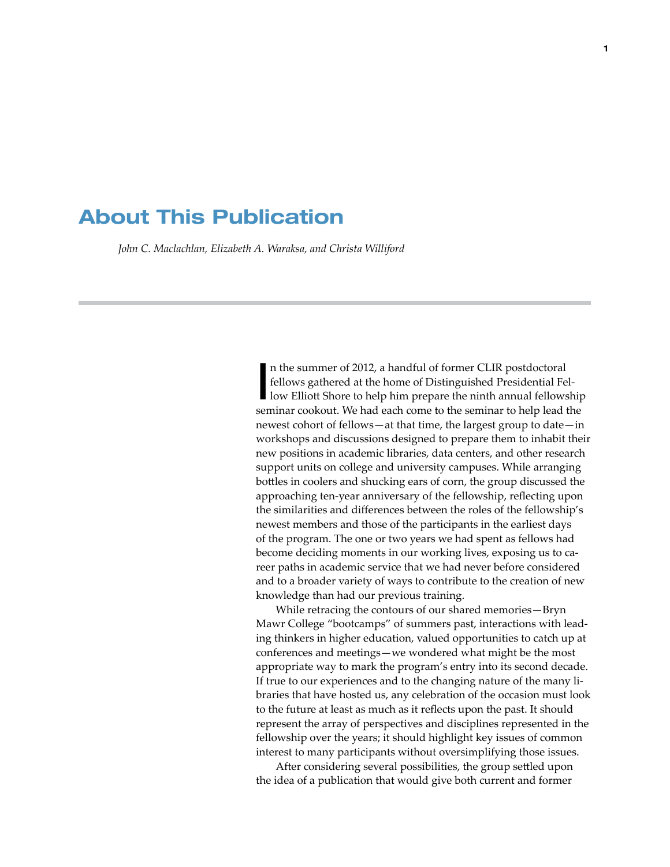## About This Publication

*John C. Maclachlan, Elizabeth A. Waraksa, and Christa Williford*

I n the summer of 2012, a handful of former CLIR postdoctoral fellows gathered at the home of Distinguished Presidential Fellow Elliott Shore to help him prepare the ninth annual fellowship seminar cookout. We had each come to the seminar to help lead the newest cohort of fellows—at that time, the largest group to date—in workshops and discussions designed to prepare them to inhabit their new positions in academic libraries, data centers, and other research support units on college and university campuses. While arranging bottles in coolers and shucking ears of corn, the group discussed the approaching ten-year anniversary of the fellowship, reflecting upon the similarities and differences between the roles of the fellowship's newest members and those of the participants in the earliest days of the program. The one or two years we had spent as fellows had become deciding moments in our working lives, exposing us to career paths in academic service that we had never before considered and to a broader variety of ways to contribute to the creation of new knowledge than had our previous training.

While retracing the contours of our shared memories—Bryn Mawr College "bootcamps" of summers past, interactions with leading thinkers in higher education, valued opportunities to catch up at conferences and meetings—we wondered what might be the most appropriate way to mark the program's entry into its second decade. If true to our experiences and to the changing nature of the many libraries that have hosted us, any celebration of the occasion must look to the future at least as much as it reflects upon the past. It should represent the array of perspectives and disciplines represented in the fellowship over the years; it should highlight key issues of common interest to many participants without oversimplifying those issues.

After considering several possibilities, the group settled upon the idea of a publication that would give both current and former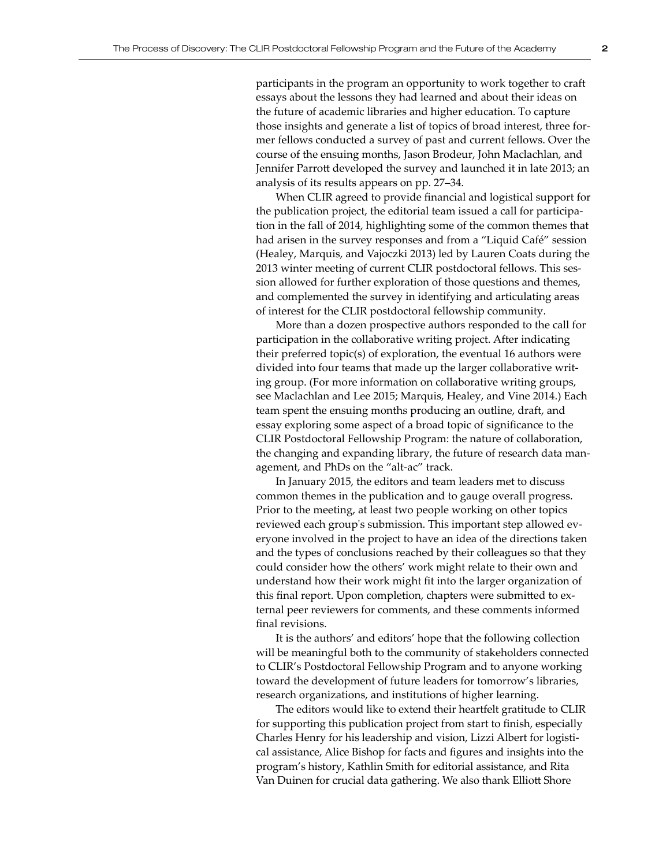participants in the program an opportunity to work together to craft essays about the lessons they had learned and about their ideas on the future of academic libraries and higher education. To capture those insights and generate a list of topics of broad interest, three former fellows conducted a survey of past and current fellows. Over the course of the ensuing months, Jason Brodeur, John Maclachlan, and Jennifer Parrott developed the survey and launched it in late 2013; an analysis of its results appears on pp. 27–34.

When CLIR agreed to provide financial and logistical support for the publication project, the editorial team issued a call for participation in the fall of 2014, highlighting some of the common themes that had arisen in the survey responses and from a "Liquid Café" session (Healey, Marquis, and Vajoczki 2013) led by Lauren Coats during the 2013 winter meeting of current CLIR postdoctoral fellows. This session allowed for further exploration of those questions and themes, and complemented the survey in identifying and articulating areas of interest for the CLIR postdoctoral fellowship community.

More than a dozen prospective authors responded to the call for participation in the collaborative writing project. After indicating their preferred topic(s) of exploration, the eventual 16 authors were divided into four teams that made up the larger collaborative writing group. (For more information on collaborative writing groups, see Maclachlan and Lee 2015; Marquis, Healey, and Vine 2014.) Each team spent the ensuing months producing an outline, draft, and essay exploring some aspect of a broad topic of significance to the CLIR Postdoctoral Fellowship Program: the nature of collaboration, the changing and expanding library, the future of research data management, and PhDs on the "alt-ac" track.

In January 2015, the editors and team leaders met to discuss common themes in the publication and to gauge overall progress. Prior to the meeting, at least two people working on other topics reviewed each group's submission. This important step allowed everyone involved in the project to have an idea of the directions taken and the types of conclusions reached by their colleagues so that they could consider how the others' work might relate to their own and understand how their work might fit into the larger organization of this final report. Upon completion, chapters were submitted to external peer reviewers for comments, and these comments informed final revisions.

It is the authors' and editors' hope that the following collection will be meaningful both to the community of stakeholders connected to CLIR's Postdoctoral Fellowship Program and to anyone working toward the development of future leaders for tomorrow's libraries, research organizations, and institutions of higher learning.

The editors would like to extend their heartfelt gratitude to CLIR for supporting this publication project from start to finish, especially Charles Henry for his leadership and vision, Lizzi Albert for logistical assistance, Alice Bishop for facts and figures and insights into the program's history, Kathlin Smith for editorial assistance, and Rita Van Duinen for crucial data gathering. We also thank Elliott Shore